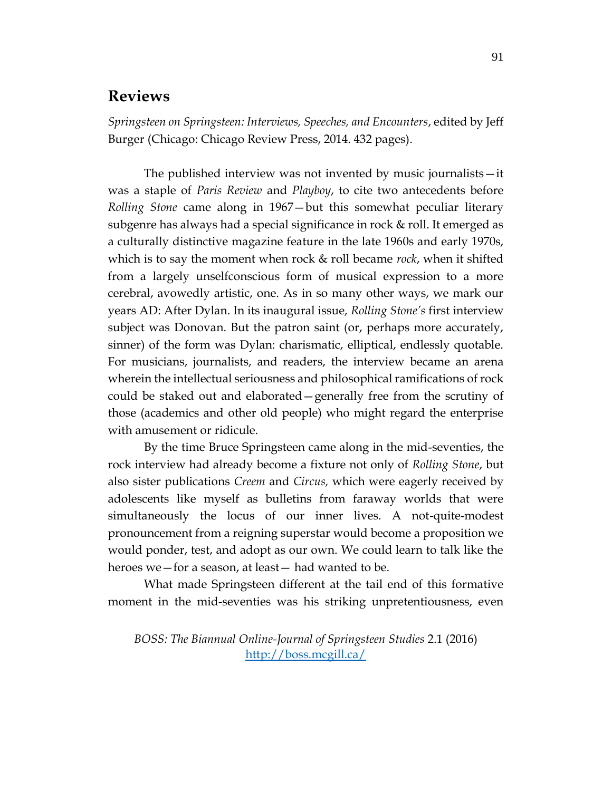## **Reviews**

*Springsteen on Springsteen: Interviews, Speeches, and Encounters*, edited by Jeff Burger (Chicago: Chicago Review Press, 2014. 432 pages).

The published interview was not invented by music journalists—it was a staple of *Paris Review* and *Playboy*, to cite two antecedents before *Rolling Stone* came along in 1967—but this somewhat peculiar literary subgenre has always had a special significance in rock & roll. It emerged as a culturally distinctive magazine feature in the late 1960s and early 1970s, which is to say the moment when rock & roll became *rock*, when it shifted from a largely unselfconscious form of musical expression to a more cerebral, avowedly artistic, one. As in so many other ways, we mark our years AD: After Dylan. In its inaugural issue, *Rolling Stone's* first interview subject was Donovan. But the patron saint (or, perhaps more accurately, sinner) of the form was Dylan: charismatic, elliptical, endlessly quotable. For musicians, journalists, and readers, the interview became an arena wherein the intellectual seriousness and philosophical ramifications of rock could be staked out and elaborated—generally free from the scrutiny of those (academics and other old people) who might regard the enterprise with amusement or ridicule.

By the time Bruce Springsteen came along in the mid-seventies, the rock interview had already become a fixture not only of *Rolling Stone*, but also sister publications *Creem* and *Circus,* which were eagerly received by adolescents like myself as bulletins from faraway worlds that were simultaneously the locus of our inner lives. A not-quite-modest pronouncement from a reigning superstar would become a proposition we would ponder, test, and adopt as our own. We could learn to talk like the heroes we—for a season, at least— had wanted to be.

What made Springsteen different at the tail end of this formative moment in the mid-seventies was his striking unpretentiousness, even

*BOSS: The Biannual Online-Journal of Springsteen Studies* 2.1 (2016) <http://boss.mcgill.ca/>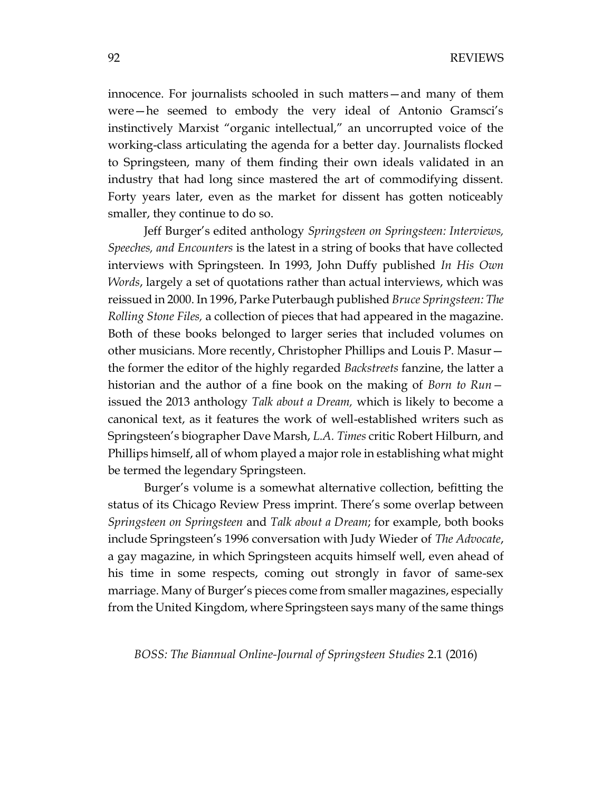innocence. For journalists schooled in such matters—and many of them were—he seemed to embody the very ideal of Antonio Gramsci's instinctively Marxist "organic intellectual," an uncorrupted voice of the working-class articulating the agenda for a better day. Journalists flocked to Springsteen, many of them finding their own ideals validated in an industry that had long since mastered the art of commodifying dissent. Forty years later, even as the market for dissent has gotten noticeably smaller, they continue to do so.

Jeff Burger's edited anthology *Springsteen on Springsteen: Interviews, Speeches, and Encounters* is the latest in a string of books that have collected interviews with Springsteen. In 1993, John Duffy published *In His Own Words*, largely a set of quotations rather than actual interviews, which was reissued in 2000. In 1996, Parke Puterbaugh published *Bruce Springsteen: The Rolling Stone Files,* a collection of pieces that had appeared in the magazine. Both of these books belonged to larger series that included volumes on other musicians. More recently, Christopher Phillips and Louis P. Masur the former the editor of the highly regarded *Backstreets* fanzine, the latter a historian and the author of a fine book on the making of *Born to Run* issued the 2013 anthology *Talk about a Dream,* which is likely to become a canonical text, as it features the work of well-established writers such as Springsteen's biographer Dave Marsh, *L.A. Times* critic Robert Hilburn, and Phillips himself, all of whom played a major role in establishing what might be termed the legendary Springsteen.

Burger's volume is a somewhat alternative collection, befitting the status of its Chicago Review Press imprint. There's some overlap between *Springsteen on Springsteen* and *Talk about a Dream*; for example, both books include Springsteen's 1996 conversation with Judy Wieder of *The Advocate*, a gay magazine, in which Springsteen acquits himself well, even ahead of his time in some respects, coming out strongly in favor of same-sex marriage. Many of Burger's pieces come from smaller magazines, especially from the United Kingdom, where Springsteen says many of the same things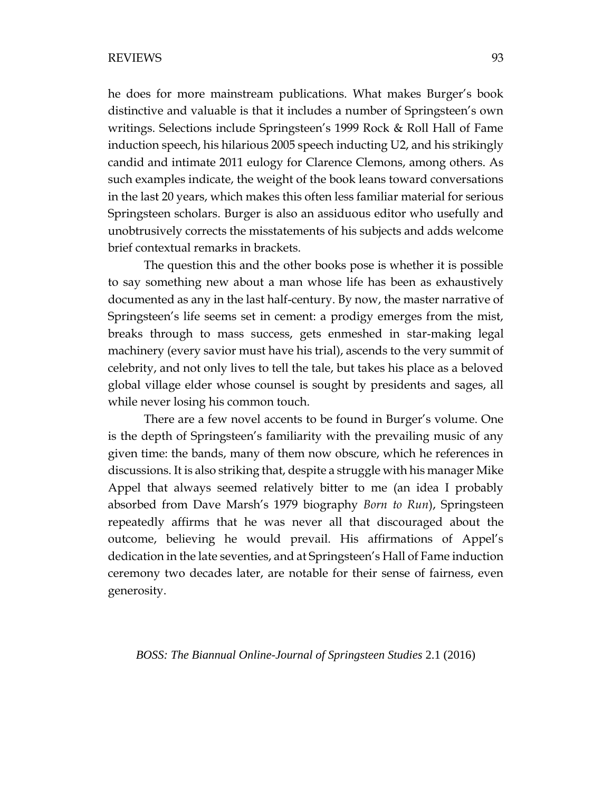he does for more mainstream publications. What makes Burger's book distinctive and valuable is that it includes a number of Springsteen's own writings. Selections include Springsteen's 1999 Rock & Roll Hall of Fame induction speech, his hilarious 2005 speech inducting U2, and his strikingly candid and intimate 2011 eulogy for Clarence Clemons, among others. As such examples indicate, the weight of the book leans toward conversations in the last 20 years, which makes this often less familiar material for serious Springsteen scholars. Burger is also an assiduous editor who usefully and unobtrusively corrects the misstatements of his subjects and adds welcome brief contextual remarks in brackets.

The question this and the other books pose is whether it is possible to say something new about a man whose life has been as exhaustively documented as any in the last half-century. By now, the master narrative of Springsteen's life seems set in cement: a prodigy emerges from the mist, breaks through to mass success, gets enmeshed in star-making legal machinery (every savior must have his trial), ascends to the very summit of celebrity, and not only lives to tell the tale, but takes his place as a beloved global village elder whose counsel is sought by presidents and sages, all while never losing his common touch.

There are a few novel accents to be found in Burger's volume. One is the depth of Springsteen's familiarity with the prevailing music of any given time: the bands, many of them now obscure, which he references in discussions. It is also striking that, despite a struggle with his manager Mike Appel that always seemed relatively bitter to me (an idea I probably absorbed from Dave Marsh's 1979 biography *Born to Run*), Springsteen repeatedly affirms that he was never all that discouraged about the outcome, believing he would prevail. His affirmations of Appel's dedication in the late seventies, and at Springsteen's Hall of Fame induction ceremony two decades later, are notable for their sense of fairness, even generosity.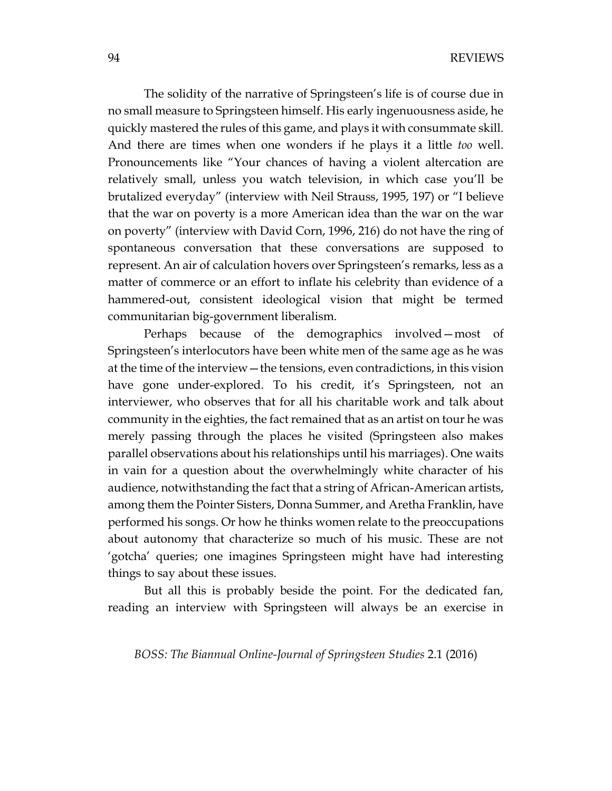The solidity of the narrative of Springsteen's life is of course due in no small measure to Springsteen himself. His early ingenuousness aside, he quickly mastered the rules of this game, and plays it with consummate skill. And there are times when one wonders if he plays it a little *too* well. Pronouncements like "Your chances of having a violent altercation are relatively small, unless you watch television, in which case you'll be brutalized everyday" (interview with Neil Strauss, 1995, 197) or "I believe that the war on poverty is a more American idea than the war on the war on poverty" (interview with David Corn, 1996, 216) do not have the ring of spontaneous conversation that these conversations are supposed to represent. An air of calculation hovers over Springsteen's remarks, less as a matter of commerce or an effort to inflate his celebrity than evidence of a hammered-out, consistent ideological vision that might be termed communitarian big-government liberalism.

Perhaps because of the demographics involved—most of Springsteen's interlocutors have been white men of the same age as he was at the time of the interview—the tensions, even contradictions, in this vision have gone under-explored. To his credit, it's Springsteen, not an interviewer, who observes that for all his charitable work and talk about community in the eighties, the fact remained that as an artist on tour he was merely passing through the places he visited (Springsteen also makes parallel observations about his relationships until his marriages). One waits in vain for a question about the overwhelmingly white character of his audience, notwithstanding the fact that a string of African-American artists, among them the Pointer Sisters, Donna Summer, and Aretha Franklin, have performed his songs. Or how he thinks women relate to the preoccupations about autonomy that characterize so much of his music. These are not 'gotcha' queries; one imagines Springsteen might have had interesting things to say about these issues.

But all this is probably beside the point. For the dedicated fan, reading an interview with Springsteen will always be an exercise in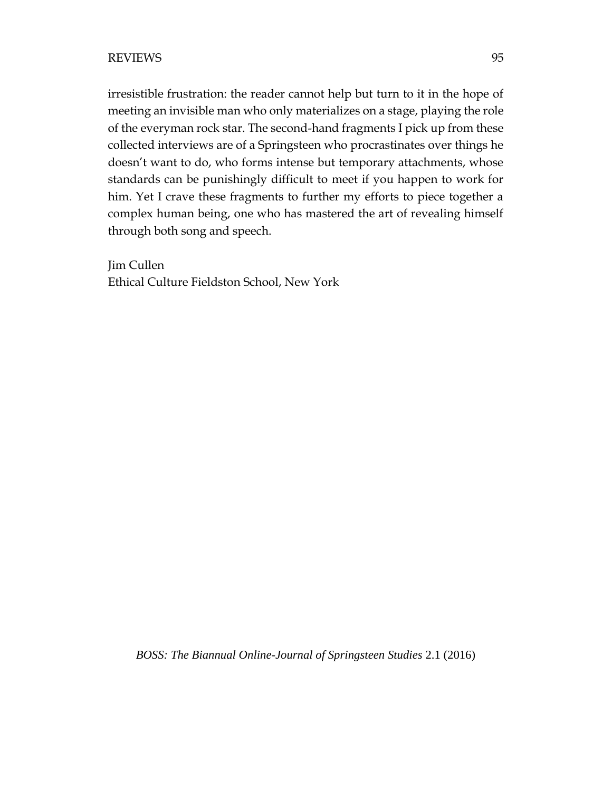irresistible frustration: the reader cannot help but turn to it in the hope of meeting an invisible man who only materializes on a stage, playing the role of the everyman rock star. The second-hand fragments I pick up from these collected interviews are of a Springsteen who procrastinates over things he doesn't want to do, who forms intense but temporary attachments, whose standards can be punishingly difficult to meet if you happen to work for him. Yet I crave these fragments to further my efforts to piece together a complex human being, one who has mastered the art of revealing himself through both song and speech.

Jim Cullen Ethical Culture Fieldston School, New York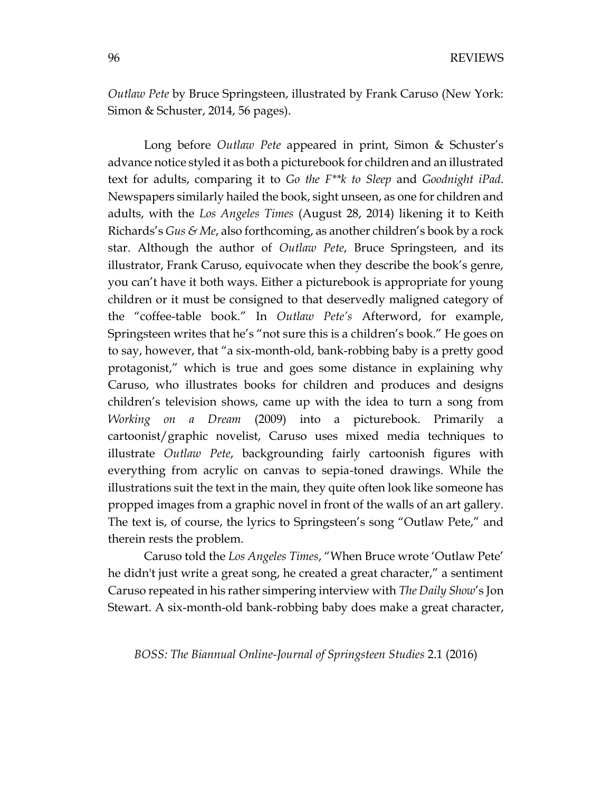*Outlaw Pete* by Bruce Springsteen, illustrated by Frank Caruso (New York: Simon & Schuster, 2014, 56 pages).

Long before *Outlaw Pete* appeared in print, Simon & Schuster's advance notice styled it as both a picturebook for children and an illustrated text for adults, comparing it to *Go the F\*\*k to Sleep* and *Goodnight iPad*. Newspapers similarly hailed the book, sight unseen, as one for children and adults, with the *Los Angeles Times* (August 28, 2014) likening it to Keith Richards's *Gus & Me*, also forthcoming, as another children's book by a rock star. Although the author of *Outlaw Pete*, Bruce Springsteen, and its illustrator, Frank Caruso, equivocate when they describe the book's genre, you can't have it both ways. Either a picturebook is appropriate for young children or it must be consigned to that deservedly maligned category of the "coffee-table book." In *Outlaw Pete's* Afterword, for example, Springsteen writes that he's "not sure this is a children's book." He goes on to say, however, that "a six-month-old, bank-robbing baby is a pretty good protagonist," which is true and goes some distance in explaining why Caruso, who illustrates books for children and produces and designs children's television shows, came up with the idea to turn a song from *Working on a Dream* (2009) into a picturebook. Primarily a cartoonist/graphic novelist, Caruso uses mixed media techniques to illustrate *Outlaw Pete*, backgrounding fairly cartoonish figures with everything from acrylic on canvas to sepia-toned drawings. While the illustrations suit the text in the main, they quite often look like someone has propped images from a graphic novel in front of the walls of an art gallery. The text is, of course, the lyrics to Springsteen's song "Outlaw Pete," and therein rests the problem.

Caruso told the *Los Angeles Times*, "When Bruce wrote 'Outlaw Pete' he didn't just write a great song, he created a great character," a sentiment Caruso repeated in his rather simpering interview with *The Daily Show*'s Jon Stewart. A six-month-old bank-robbing baby does make a great character,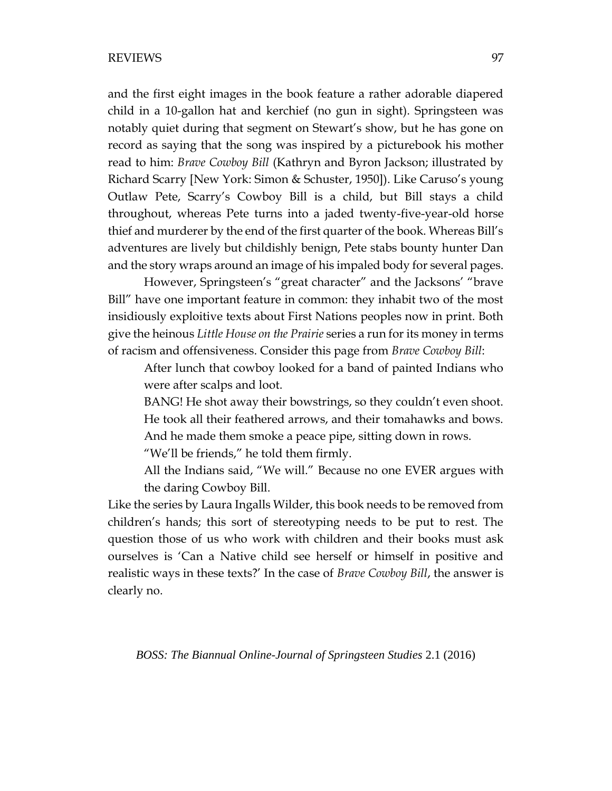and the first eight images in the book feature a rather adorable diapered child in a 10-gallon hat and kerchief (no gun in sight). Springsteen was notably quiet during that segment on Stewart's show, but he has gone on record as saying that the song was inspired by a picturebook his mother read to him: *Brave Cowboy Bill* (Kathryn and Byron Jackson; illustrated by Richard Scarry [New York: Simon & Schuster, 1950]). Like Caruso's young Outlaw Pete, Scarry's Cowboy Bill is a child, but Bill stays a child throughout, whereas Pete turns into a jaded twenty-five-year-old horse thief and murderer by the end of the first quarter of the book. Whereas Bill's adventures are lively but childishly benign, Pete stabs bounty hunter Dan and the story wraps around an image of his impaled body for several pages.

However, Springsteen's "great character" and the Jacksons' "brave Bill" have one important feature in common: they inhabit two of the most insidiously exploitive texts about First Nations peoples now in print. Both give the heinous *Little House on the Prairie* series a run for its money in terms of racism and offensiveness. Consider this page from *Brave Cowboy Bill*:

After lunch that cowboy looked for a band of painted Indians who were after scalps and loot.

BANG! He shot away their bowstrings, so they couldn't even shoot. He took all their feathered arrows, and their tomahawks and bows. And he made them smoke a peace pipe, sitting down in rows.

"We'll be friends," he told them firmly.

All the Indians said, "We will." Because no one EVER argues with the daring Cowboy Bill.

Like the series by Laura Ingalls Wilder, this book needs to be removed from children's hands; this sort of stereotyping needs to be put to rest. The question those of us who work with children and their books must ask ourselves is 'Can a Native child see herself or himself in positive and realistic ways in these texts?' In the case of *Brave Cowboy Bill*, the answer is clearly no.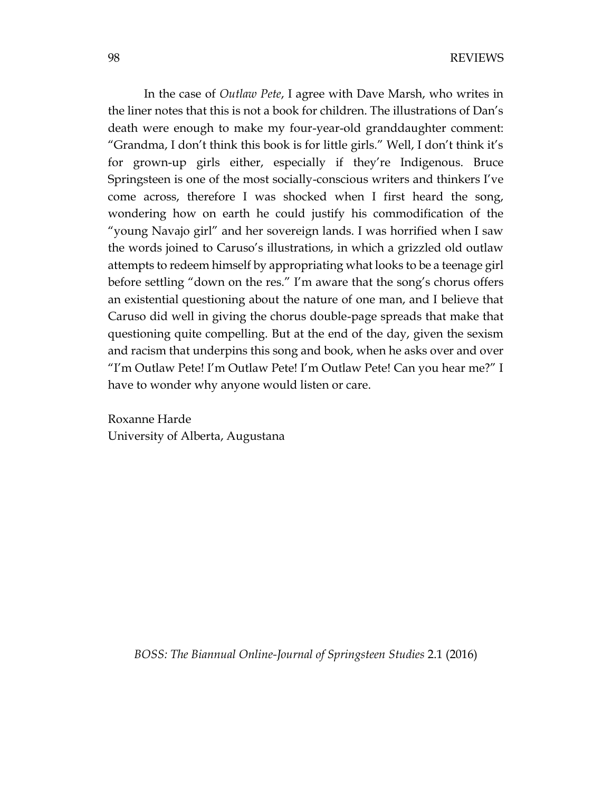In the case of *Outlaw Pete*, I agree with Dave Marsh, who writes in the liner notes that this is not a book for children. The illustrations of Dan's death were enough to make my four-year-old granddaughter comment: "Grandma, I don't think this book is for little girls." Well, I don't think it's for grown-up girls either, especially if they're Indigenous. Bruce Springsteen is one of the most socially-conscious writers and thinkers I've come across, therefore I was shocked when I first heard the song, wondering how on earth he could justify his commodification of the "young Navajo girl" and her sovereign lands. I was horrified when I saw the words joined to Caruso's illustrations, in which a grizzled old outlaw attempts to redeem himself by appropriating what looks to be a teenage girl before settling "down on the res." I'm aware that the song's chorus offers an existential questioning about the nature of one man, and I believe that Caruso did well in giving the chorus double-page spreads that make that questioning quite compelling. But at the end of the day, given the sexism and racism that underpins this song and book, when he asks over and over "I'm Outlaw Pete! I'm Outlaw Pete! I'm Outlaw Pete! Can you hear me?" I have to wonder why anyone would listen or care.

Roxanne Harde University of Alberta, Augustana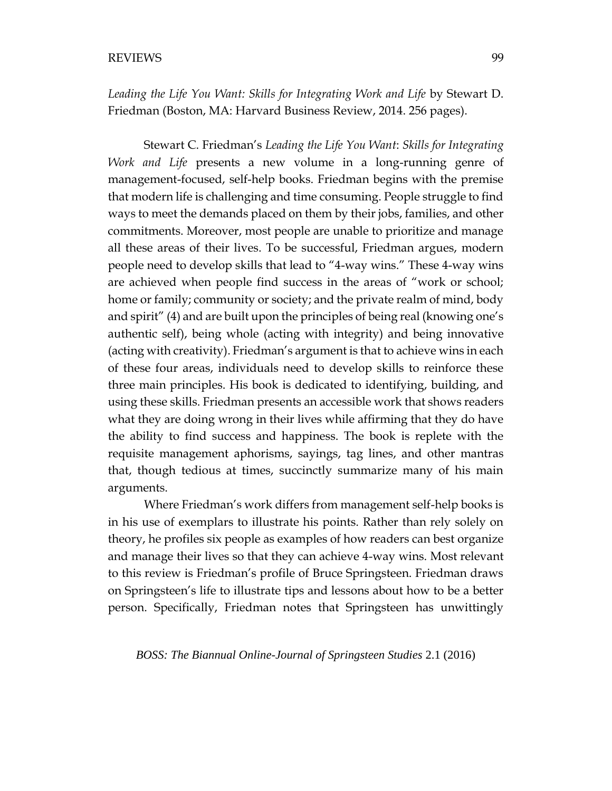*Leading the Life You Want: Skills for Integrating Work and Life* by Stewart D. Friedman (Boston, MA: Harvard Business Review, 2014. 256 pages).

Stewart C. Friedman's *Leading the Life You Want*: *Skills for Integrating Work and Life* presents a new volume in a long-running genre of management-focused, self-help books. Friedman begins with the premise that modern life is challenging and time consuming. People struggle to find ways to meet the demands placed on them by their jobs, families, and other commitments. Moreover, most people are unable to prioritize and manage all these areas of their lives. To be successful, Friedman argues, modern people need to develop skills that lead to "4-way wins." These 4-way wins are achieved when people find success in the areas of "work or school; home or family; community or society; and the private realm of mind, body and spirit" (4) and are built upon the principles of being real (knowing one's authentic self), being whole (acting with integrity) and being innovative (acting with creativity). Friedman's argument is that to achieve wins in each of these four areas, individuals need to develop skills to reinforce these three main principles. His book is dedicated to identifying, building, and using these skills. Friedman presents an accessible work that shows readers what they are doing wrong in their lives while affirming that they do have the ability to find success and happiness. The book is replete with the requisite management aphorisms, sayings, tag lines, and other mantras that, though tedious at times, succinctly summarize many of his main arguments.

Where Friedman's work differs from management self-help books is in his use of exemplars to illustrate his points. Rather than rely solely on theory, he profiles six people as examples of how readers can best organize and manage their lives so that they can achieve 4-way wins. Most relevant to this review is Friedman's profile of Bruce Springsteen. Friedman draws on Springsteen's life to illustrate tips and lessons about how to be a better person. Specifically, Friedman notes that Springsteen has unwittingly